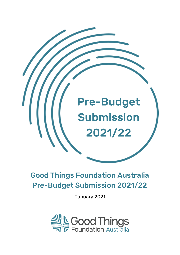

# Good Things Foundation Australia Pre-Budget Submission 2021/22

January 2021

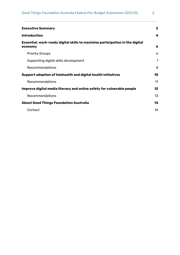| <b>Executive Summary</b>                                                                 | 3  |
|------------------------------------------------------------------------------------------|----|
| <b>Introduction</b>                                                                      | 4  |
| Essential, work-ready digital skills to maximise participation in the digital<br>economy | 6  |
| <b>Priority Groups</b>                                                                   | 6  |
| Supporting digital skills development                                                    | 7  |
| Recommendations                                                                          | 8  |
| Support adoption of telehealth and digital health initiatives                            | 10 |
| Recommendations                                                                          | 11 |
| Improve digital media literacy and online safety for vulnerable people                   | 12 |
| Recommendations                                                                          | 13 |
| <b>About Good Things Foundation Australia</b>                                            | 14 |
| Contact                                                                                  | 14 |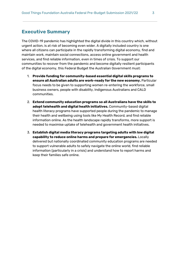### <span id="page-2-0"></span>**Executive Summary**

The COVID-19 pandemic has highlighted the digital divide in this country which, without urgent action, is at risk of becoming even wider. A digitally included country is one where all citizens can participate in the rapidly transforming digital economy, find and maintain work, maintain social connections, access online government and health services, and find reliable information, even in times of crisis. To support our communities to recover from the pandemic and become digitally resilient participants of the digital economy, this Federal Budget the Australian Government must:

- 1. **Provide funding for community-based essential digital skills programs to ensure all Australian adults are work-ready for the new economy.** Particular focus needs to be given to supporting women re-entering the workforce, small business owners, people with disability, Indigenous Australians and CALD communities.
- 2. **Extend community education programs so all Australians have the skills to adopt telehealth and digital health initiatives.** Community-based digital health literacy programs have supported people during the pandemic to manage their health and wellbeing using tools like My Health Record, and find reliable information online. As the health landscape rapidly transforms, more support is needed to maximise uptake of telehealth and government health initiatives.
- 3. **Establish digital media literacy programs targeting adults with low digital capability to reduce online harms and prepare for emergencies.** Locally delivered but nationally coordinated community education programs are needed to support vulnerable adults to safely navigate the online world, find reliable information (particularly in a crisis) and understand how to report harms and keep their families safe online.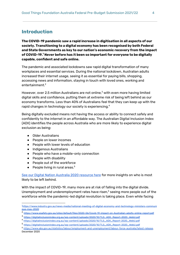### <span id="page-3-0"></span>**Introduction**

**The COVID-19 pandemic saw a rapid increase in digitisation in all aspects of our society. Transitioning to a digital economy has been recognised by both Federal and State Governments as key to our nation's economic recovery from the impact of COVID-19. Never before has it been so important for everyone to be digitally 1 capable, confident and safe online.**

The pandemic and associated lockdowns saw rapid digital transformation of many workplaces and essential services. During the national lockdown, Australian adults increased their internet usage, seeing it as essential for paying bills, shopping, accessing news and information, staying in touch with loved ones, working and entertainment. 2

However, over 2.5 million Australians are not online, $<sup>3</sup>$  with even more having limited</sup> digital skills and confidence, putting them at extreme risk of being left behind as our economy transforms. Less than 40% of Australians feel that they can keep up with the rapid changes in technology our society is experiencing. $^{\textrm{\tiny{A}}}$ 

Being digitally excluded means not having the access or ability to connect safely and confidently to the internet in an affordable way. The Australian Digital Inclusion Index (ADII) identifies the people across Australia who are more likely to experience digital exclusion as being:

- Older Australians
- People on lower incomes
- People with lower levels of education
- Indigenous Australians
- People who have a mobile-only connection
- People with disability
- People out of the workforce
- $\bullet$  People living in rural areas.<sup>5</sup>

See our Digital Nation [Australia](https://www.goodthingsfoundation.org.au/research-publications/digital-nation-australia-2020) 2020 resource here for more insights on who is most likely to be left behind.

With the impact of COVID-19, many more are at risk of falling into the digital divide. Unemployment and underemployment rates have risen,<sup>6</sup> seeing more people out of the workforce while the pandemic-led digital revolution is taking place. Even while facing

<sup>1</sup>[https://www.industry.gov.au/news-media/national-meeting-of-digital-economy-and-technology-ministers-communi](https://www.industry.gov.au/news-media/national-meeting-of-digital-economy-and-technology-ministers-communique-may-2020) [que-may-2020](https://www.industry.gov.au/news-media/national-meeting-of-digital-economy-and-technology-ministers-communique-may-2020)

<sup>2</sup> <https://www.esafety.gov.au/sites/default/files/2020-06/Covid-19-impact-on-Australian-adults-online-report.pdf>

<sup>3</sup> [https://digitalinclusionindex.org.au/wp-content/uploads/2020/10/TLS\\_ADII\\_Report-2020\\_WebU.pdf](https://digitalinclusionindex.org.au/wp-content/uploads/2020/10/TLS_ADII_Report-2020_WebU.pdf)

<sup>4</sup> [https://digitalinclusionindex.org.au/wp-content/uploads/2020/10/TLS\\_ADII\\_Report-2020\\_WebU.pdf](https://digitalinclusionindex.org.au/wp-content/uploads/2020/10/TLS_ADII_Report-2020_WebU.pdf)

<sup>5</sup> [https://digitalinclusionindex.org.au/wp-content/uploads/2020/10/TLS\\_ADII\\_Report-2020\\_WebU.pdf](https://digitalinclusionindex.org.au/wp-content/uploads/2020/10/TLS_ADII_Report-2020_WebU.pdf)

<sup>6</sup> [https://www.abs.gov.au/statistics/labour/employment-and-unemployment/labour-force-australia/latest-release,](https://www.abs.gov.au/statistics/labour/employment-and-unemployment/labour-force-australia/latest-release) December 2020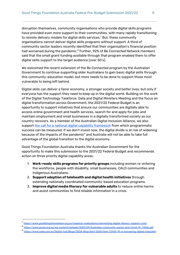disruption themselves, community organisations who provide digital skills programs have provided even more support to their communities, with many rapidly transitioning to remote delivery models for digital skills services. $^7$  But, these community organisations cannot deliver digital skills programs without support. A third of community sector leaders recently identified that their organisation's financial position had worsened during the pandemic.<sup>8</sup> Further, 92% of Be Connected Network members said that the small grant funding available through that program enabled them to offer digital skills support to the target audience (over 50's).

We welcomed the recent extension of the Be Connected program by the Australian Government to continue supporting older Australians to gain basic digital skills through this community-education model, but more needs to be done to support those most vulnerable to being left behind.

Digital skills can deliver a fairer economy, a stronger society and better lives; but only if everyone has the support they need to keep up in the digital world. Building on the work of the Digital Technology Taskforce, Data and Digital Ministers Meeting and the focus on digital transformation across Government, the 2021/22 Federal Budget is an opportunity to support initiatives that ensure our communities are digitally able to access online government and health services, search for and apply for jobs and maintain employment and small businesses in a digitally transformed society as our country recovers. As a member of the Australian Digital Inclusion Alliance, we also support the call for a national digital capability [framework](https://www.digitalinclusion.org.au/a-national-digital-inclusion-roadmap) from which programmatic success can be measured. If we don't invest now, the digital divide is at risk of widening because of the impacts of the pandemic $^{\circ}$  and Australia will not be able to take full advantage of the global transition to the digital economy.

Good Things Foundation Australia thanks the Australian Government for the opportunity to make this submission to the 2021/22 Federal Budget and recommends action on three priority digital capability areas:

- 1. **Work-ready skills programs for priority groups** including women re-entering the workforce, people with disability, small businesses, CALD communities and Indigenous Australians.
- 2. **Support adoption of telehealth and digital health initiatives** through extending nationally coordinated community-based education programs
- 3. **Improve digital media literacy for vulnerable adults** to reduce online harms and assist communities to find reliable information in a crisis.

<sup>7</sup> <https://www.goodthingsfoundation.org.au/research-publications/reinventing-digital-literacy-support-crisis>

<sup>8</sup> [https://www.acoss.org.au/wp-content/uploads/2020/09/Australias-community-sector-and-Covid-19\\_FINAL.pdf](https://www.acoss.org.au/wp-content/uploads/2020/09/Australias-community-sector-and-Covid-19_FINAL.pdf)

<sup>9</sup> <https://www.ceda.com.au/Digital-hub/Blogs/CEDA-Blog/April-2020/How-COVID-19-is-worsening-digital-inequality>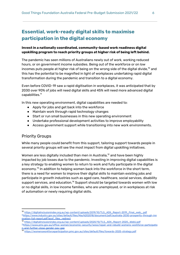# <span id="page-5-0"></span>**Essential, work-ready digital skills to maximise participation in the digital economy**

#### **Invest in a nationally coordinated, community-based work readiness digital upskilling program to reach priority groups at higher risk of being left behind.**

The pandemic has seen millions of Australians newly out of work, working reduced hours, or on government income subsidies. Being out of the workforce or on low incomes puts people at higher risk of being on the wrong side of the digital divide, $^{\rm 10}$  and this has the potential to be magnified in light of workplaces undertaking rapid digital transformation during the pandemic and transition to a digital economy.

Even before COVID-19 saw a rapid digitisation in workplaces, it was anticipated that by 2030 over 90% of jobs will need digital skills and 45% will need more advanced digital capabilities. 11

In this new operating environment, digital capabilities are needed to:

- Apply for jobs and get back into the workforce
- Maintain work through rapid technology changes
- Start or run small businesses in this new operating environment
- Undertake professional development activities to improve employability
- Access government support while transitioning into new work environments.

### <span id="page-5-1"></span>Priority Groups

While many people could benefit from this support, tailoring support towards people in several priority groups will see the most impact from digital upskilling initiatives.

Women are less digitally included than men in Australia, $^\mathrm{12}$  and have been highly impacted by job losses due to the pandemic. Investing in improving digital capabilities is a key strategy to enabling women to return to work and fully participate in the digital economy.<sup>13</sup> In addition to helping women back into the workforce in the short term, there is a need for women to improve their digital skills to maintain existing jobs and participate in growth industries such as aged care, healthcare, social services, disability support services, and education. $^{\text{14}}$  Support should be targeted towards women with low or no digital skills, in low income families, who are unemployed, or in workplaces at risk of automation or newly requiring digital skills.

<sup>10</sup> [https://digitalinclusionindex.org.au/wp-content/uploads/2019/10/TLS\\_ADII\\_Report-2019\\_Final\\_web\\_.pdf](https://digitalinclusionindex.org.au/wp-content/uploads/2019/10/TLS_ADII_Report-2019_Final_web_.pdf) <sup>11</sup>[https://www.industry.gov.au/sites/default/files/May%202018/document/pdf/australia-2030-prosperity-through-inn](https://www.industry.gov.au/sites/default/files/May%202018/document/pdf/australia-2030-prosperity-through-innovation-full-report.pdf?acsf_files_redirect) [ovation-full-report.pdf?acsf\\_files\\_redirect](https://www.industry.gov.au/sites/default/files/May%202018/document/pdf/australia-2030-prosperity-through-innovation-full-report.pdf?acsf_files_redirect)

<sup>12</sup> [https://digitalinclusionindex.org.au/wp-content/uploads/2020/10/TLS\\_ADII\\_Report-2020\\_WebU.pdf](https://digitalinclusionindex.org.au/wp-content/uploads/2020/10/TLS_ADII_Report-2020_WebU.pdf)

<sup>13</sup>[https://www.pmc.gov.au/office-women/economic-security/wess/repair-and-rebuild-womens-workforce-participatio](https://www.pmc.gov.au/office-women/economic-security/wess/repair-and-rebuild-womens-workforce-participation-and-further-close-gender-pay-gap) [n-and-further-close-gender-pay-gap](https://www.pmc.gov.au/office-women/economic-security/wess/repair-and-rebuild-womens-workforce-participation-and-further-close-gender-pay-gap)

<sup>14</sup> <https://womensworkforceparticipation.pmc.gov.au/sites/default/files/towards-2025-strategy.pdf>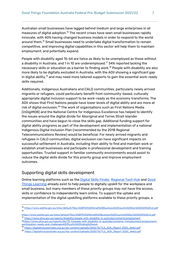Australian small businesses have lagged behind medium and large enterprises in all measures of digital adoption. $^{15}$  The recent crises have seen small businesses rapidly innovate, with 40% having changed business models in order to respond to the world around them. $^{16}$  Small businesses need to undertake digital transformation to remain competitive, and improving digital capabilities in this sector will help them to maintain employment, and potentially expand.

People with disability aged 15-64 are twice as likely to be unemployed as those without a disability in Australia, and 1 in 10 are underemployed. $^{\imath\tau}$  34% reported lacking the necessary skills or education as a barrier to finding work.<sup>18</sup> People with disability are also more likely to be digitally excluded in Australia, with the ADII showing a significant gap in digital ability, $^{19}$  and may need more tailored supports to gain the essential work-ready skills required.

Additionally, Indigenous Australians and CALD communities, particularly newly arrived migrants or refugees, could particularly benefit from community-based, culturally appropriate digital inclusion support to be work-ready as the economy transforms. The ADII shows that First Nations people have lower levels of digital ability and are more at risk of digital exclusion. $^{20}$  The work of organisations such as First Nations Media (inDigiMOB) and the National Centre for Indigenous Excellence has helped to identify the issues around the digital divide for Aboriginal and Torres Strait Islander communities and have begun to close the skills gap. Additional funding support for digital ability programs as part of the development and implementation of a national Indigenous Digital Inclusion Plan (recommended by the 2018 Regional Telecommunications Review) would be beneficial. For newly arrived migrants and refugees in CALD communities, digital exclusion can have significant impacts on successful settlement in Australia, including their ability to find and maintain work or establish small businesses and participate in professional development and training opportunities. Trusted support in familiar community environments would assist to reduce the digital skills divide for this priority group and improve employment outcomes.

### <span id="page-6-0"></span>Supporting digital skills development

Online learning platforms such as the Digital Skills [Finder,](https://www.skillfinder.com.au/) [Regional](https://regionaltechhub.org.au/) Tech Hub and [Good](https://learning.goodthingsfoundation.org.au/) Things [Learning](https://learning.goodthingsfoundation.org.au/) already exist to help people to digitally upskill for the workplace and small business, but many members of these priority groups may not have the access, skills or confidence to independently learn online. To support the uptake and implementation of the digital upskilling platforms available to these priority groups, a

<sup>19</sup> [https://digitalinclusionindex.org.au/wp-content/uploads/2020/10/TLS\\_ADII\\_Report-2020\\_WebU.pdf](https://digitalinclusionindex.org.au/wp-content/uploads/2020/10/TLS_ADII_Report-2020_WebU.pdf)

<sup>15</sup> <https://www.asbfeo.gov.au/sites/default/files/ASBFEO%20Small%20Business%20Counts%20Dec%202020%20v2.pdf> 16

<https://www.asbfeo.gov.au/sites/default/files/ASBFEO%20Small%20Business%20Counts%20Dec%202020%20v2.pdf> <sup>17</sup> <https://www.aihw.gov.au/reports/disability/people-with-disability-in-australia/contents/employment>

<sup>&</sup>lt;sup>18</sup>[https://www.aihw.gov.au/reports/dis/73-1/people-with-disability-in-australia/contents-1/employment/employment](https://www.aihw.gov.au/reports/dis/73-1/people-with-disability-in-australia/contents-1/employment/employment-participation-needs-and-challenges#Difficulty%20finding%20work)[participation-needs-and-challenges#Difficulty%20finding%20work](https://www.aihw.gov.au/reports/dis/73-1/people-with-disability-in-australia/contents-1/employment/employment-participation-needs-and-challenges#Difficulty%20finding%20work)

<sup>20</sup> [https://digitalinclusionindex.org.au/wp-content/uploads/2020/10/TLS\\_ADII\\_Report-2020\\_WebU.pdf](https://digitalinclusionindex.org.au/wp-content/uploads/2020/10/TLS_ADII_Report-2020_WebU.pdf)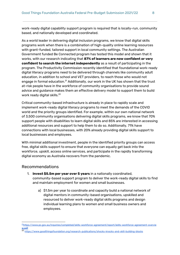work-ready digital capability support program is required that is locally-run, community based, and nationally developed and coordinated.

As a world leader in delivering digital inclusion programs, we know that digital skills programs work when there is a combination of high-quality online learning resources with grant-funded, tailored support in local community settings. The Australian Government funded Be Connected program has tested this model and shown that it works, with our research indicating that **87% of learners are now confident or very confident to search the internet independently** as a result of participating in the program. The Productivity Commission recently identified that foundational work-ready digital literacy programs need to be delivered through channels like community adult education, in addition to school and VET providers, to reach those who would not engage in formal education. $^{21}$  Additionally, our work in the UK has shown that the trust at-risk people have in the workforce of community organisations to provide sound advice and guidance makes them an effective delivery model to support them to build work ready digital skills.<sup>22</sup>

Critical community-based infrastructure is already in place to rapidly scale and implement work-ready digital literacy programs to meet the demands of the COVID world and the priority groups identified. For example, within our own national network of 3,500 community organisations delivering digital skills programs, we know that 70% support people with disabilities to learn digital skills and 85% are interested in accessing additional resources and support to help them to do so. Additionally, 71% have connections with local businesses, with 20% already providing digital skills support to local businesses and employees.

With minimal additional investment, people in the identified priority groups can access free, digital skills support to ensure that everyone can equally get back into the workforce, upskill, access online services, and participate in the rapidly transforming digital economy as Australia recovers from the pandemic.

### <span id="page-7-0"></span>Recommendations

- 1. **Invest \$5.5m per year over 5 years** in a nationally coordinated, community-based support program to deliver the work-ready digital skills to find and maintain employment for women and small businesses.
	- a) \$1.5m per year to coordinate and capacity build a national network of digital mentors in community-based organisations, upskilled and resourced to deliver work-ready digital skills programs and design individual learning plans to women and small business owners and employees.

<sup>&</sup>lt;sup>21</sup>[https://www.pc.gov.au/inquiries/completed/skills-workforce-agreement/report/skills-workforce-agreement-overvie](https://www.pc.gov.au/inquiries/completed/skills-workforce-agreement/report/skills-workforce-agreement-overview.pdf) [w.pdf](https://www.pc.gov.au/inquiries/completed/skills-workforce-agreement/report/skills-workforce-agreement-overview.pdf)

<sup>22</sup> <https://www.goodthingsfoundation.org/research-publications/shocks-knocks-and-skill-building-blocks>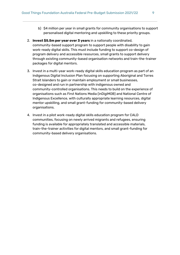- b) \$4 million per year in small grants for community organisations to support personalised digital mentoring and upskilling to these priority groups.
- 2. **Invest \$5.5m per year over 3 years** in a nationally coordinated, community-based support program to support people with disability to gain work-ready digital skills. This must include funding to support co-design of program delivery and accessible resources, small grants to support delivery through existing community-based organisation networks and train-the-trainer packages for digital mentors.
- 3. Invest in a multi-year work-ready digital skills education program as part of an Indigenous Digital Inclusion Plan focusing on supporting Aboriginal and Torres Strait Islanders to gain or maintain employment or small businesses, co-designed and run in partnership with indigenous owned and community-controlled organisations. This needs to build on the experience of organisations such as First Nations Media (inDigiMOB) and National Centre of Indigenous Excellence, with culturally appropriate learning resources, digital mentor upskilling, and small grant-funding for community-based delivery organisations.
- 4. Invest in a pilot work-ready digital skills education program for CALD communities, focusing on newly arrived migrants and refugees, ensuring funding is available for appropriately translated and accessible materials, train-the-trainer activities for digital mentors, and small grant-funding for community-based delivery organisations.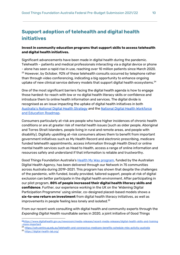# <span id="page-9-0"></span>**Support adoption of telehealth and digital health initiatives**

#### **Invest in community education programs that support skills to access telehealth and digital health initiatives.**

Significant advancements have been made in digital health during the pandemic. Telehealth - patients and medical professionals interacting via a digital device or phone - alone has seen a rapid rise in use, reaching over 10 million patients since March 2020.  $^{23}$  However, by October, 92% of these telehealth consults occurred by telephone rather than through video conferencing, indicating a big opportunity to enhance ongoing uptake of new clinical service delivery models that support digital health ecosystems. $^{24}$ 

One of the most significant barriers facing the digital health agenda is how to engage those hardest-to-reach with low or no digital health literacy skills or confidence and introduce them to online health information and services. The digital divide is recognised as an issue impacting the uptake of digital health initiatives in both [Australia's](https://www.digitalhealth.gov.au/about-us/national-digital-health-strategy-and-framework-for-action) National Digital Health Strategy and the National Digital Health [Workforce](https://www.digitalhealth.gov.au/sites/default/files/2020-11/Workforce_and_Education-Roadmap.pdf) and [Education](https://www.digitalhealth.gov.au/sites/default/files/2020-11/Workforce_and_Education-Roadmap.pdf) Roadmap.

Consumers particularly at-risk are people who have higher incidences of chronic health conditions or are at greater risk of mental health issues (such as older people, Aboriginal and Torres Strait Islanders, people living in rural and remote areas, and people with disability). Digitally upskilling at-risk consumers allows them to benefit from important government initiatives such as My Health Record and electronic prescribing, medicare funded telehealth appointments, access information through Health Direct or online mental health services such as Head to Health, access a range of online information and resources safely and understand if that information is reliable and trustworthy.

Good Things Foundation Australia's Health My Way [program,](https://www.goodthingsfoundation.org.au/projects/health-my-way) funded by the Australian Digital Health Agency, has been delivered through our Network in 75 communities across Australia during 2019-2021. This program has shown that despite the challenges of the pandemic, with funded, locally provided, tailored support, people at risk of digital exclusion can better participate in the digital health environment. After participating in our pilot program, **80% of people increased their digital health literacy skills and confidence**. Further, our experience working in the UK on the 'Widening Digital Participation Programme' using similar, co-designed placed-based models shows a **six-to-one return on investment** from digital health literacy initiatives, as well as improvements in people feeling less lonely and isolated. $^{25}$ 

From our recent work consulting with digital health and community experts through the *Expanding Digital Health* roundtable series in 2020, a joint initiative of Good Things

- <sup>24</sup> <https://coh.centre.uq.edu.au/telehealth-and-coronavirus-medicare-benefits-schedule-mbs-activity-australia>
- <sup>25</sup> <https://digital-health-lab.org/>

<sup>23</sup>[https://www.digitalhealth.gov.au/newsroom/media-releases/recent-media-releases/digital-health-skills-and-training](https://www.digitalhealth.gov.au/newsroom/media-releases/recent-media-releases/digital-health-skills-and-training-more-important) [-more-important](https://www.digitalhealth.gov.au/newsroom/media-releases/recent-media-releases/digital-health-skills-and-training-more-important)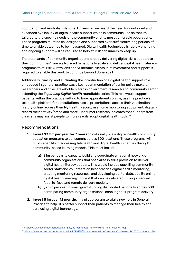Foundation and Australian National University, we heard the need for continued and expanded availability of digital health support which is community-led so that its tailored to the specific needs of the community and its most vulnerable populations. These programs must be co-designed and supported over sufficiently long periods of time to enable outcomes to be measured. Digital health technology is rapidly changing and ongoing support will be required to help at-risk consumers to keep up.

The thousands of community organisations already delivering digital skills support to their communities $^{\rm 26}$  are well-placed to nationally scale and deliver digital health literacy programs to at-risk Australians and vulnerable clients, but investment and support is required to enable this work to continue beyond June 2021.

Additionally, trialling and evaluating the introduction of a digital health support role embedded in general practice was a key recommendation of senior policy makers, researchers and other stakeholders across government research and community sector attending the *Expanding Digital Health* roundtable series. This role would support patients within the practice setting to book appointments online, use the practice's telehealth platform for consultations, use e-prescriptions, access their vaccination history online, access their My Health Record, use home monitoring equipment, digitally record their activity/steps and more. Consumer research indicates that support from clinicians may assist people to more readily adopt digital health tools. $^{27}$ 

#### <span id="page-10-0"></span>Recommendations

- 1. **Invest \$3.5m per year for 3 years** to nationally scale digital health community education programs to consumers across 500 locations. These programs will build capability in accessing telehealth and digital health initiatives through community-based learning models. This must include:
	- a) \$1m per year to capacity build and coordinate a national network of community organisations that specialise in skills provision to deliver digital health literacy support. This would include upskilling community sector staff and volunteers on best practice digital health mentoring, creating mentoring resources, and developing up-to-date, quality online digital health learning content that can be delivered through blended face-to-face and remote delivery models.
	- b) \$2.5m per year in small grant-funding distributed nationally across 500 participating community organisations, enabling their program delivery.
- 2. **Invest \$1m over 12 months** in a pilot program to trial a new role in General Practice to help GPs better support their patients to manage their health and care using digital technology.

<sup>&</sup>lt;sup>26</sup> <https://www.beconnectednetwork.org.au/be-connected-network/find-help-locally#/map>

<sup>27</sup> [https://www.accenture.com/\\_acnmedia/PDF-135/Accenture-Health-Consumer-Survey-AUS-2020.pdf#zoom=40](https://www.accenture.com/_acnmedia/PDF-135/Accenture-Health-Consumer-Survey-AUS-2020.pdf#zoom=40)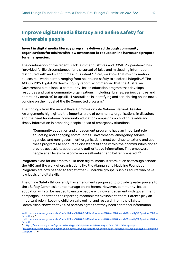# <span id="page-11-0"></span>**Improve digital media literacy and online safety for vulnerable people**

#### **Invest in digital media literacy programs delivered through community organisations for adults with low awareness to reduce online harms and prepare for emergencies.**

The combination of the recent Black Summer bushfires and COVID-19 pandemic has "provided fertile circumstances for the spread of false and misleading information, distributed with and without malicious intent."<sup>28</sup> Yet, we know that misinformation causes real world harms, ranging from health and safety to electoral integrity. $^{29}$  The ACCC's 2019 Digital Platforms Inquiry report recommended that the Australian Government establishes a community-based education program that develops resources and trains community organisations (including libraries, seniors centres and community centres) to upskill all Australians in identifying and scrutinising online news, building on the model of the Be Connected program.<sup>30</sup>

The findings from the recent Royal Commission into National Natural Disaster Arrangements highlighted the important role of community organisations in disasters and the need for national community education campaigns on finding reliable and timely information in preparing people ahead of emergency situations:

"Community education and engagement programs have an important role in educating and engaging communities. Governments, emergency service agencies and non-government organisations must continue to extend and use these programs to encourage disaster resilience within their communities and to provide accessible, accurate and authoritative information. This empowers people at all levels to become more self-reliant and better prepared." 31

Programs exist for children to build their digital media literacy, such as through schools, the ABC and the work of organisations like the Alannah and Madeline Foundation. Programs are now needed to target other vulnerable groups, such as adults who have low levels of digital skills.

The Online Safety Bill currently has amendments proposed to provide greater powers to the eSafety Commissioner to manage online harms. However, community-based education will still be needed to ensure people with low engagement with government campaigns understand the reporting mechanisms available to them. Parents play an important role in keeping children safe online, and research from the eSafety Commission shows that 95% of parents agree that they need additional information

<sup>28</sup>[https://www.acma.gov.au/sites/default/files/2020-06/Misinformation%20and%20news%20quality%20position%20pa](https://www.acma.gov.au/sites/default/files/2020-06/Misinformation%20and%20news%20quality%20position%20paper.pdf) [per.pdf,](https://www.acma.gov.au/sites/default/files/2020-06/Misinformation%20and%20news%20quality%20position%20paper.pdf) pg 2.

<sup>&</sup>lt;sup>29</sup>[https://www.acma.gov.au/sites/default/files/2020-06/Misinformation%20and%20news%20quality%20position%20pa](https://www.acma.gov.au/sites/default/files/2020-06/Misinformation%20and%20news%20quality%20position%20paper.pdf) [per.pdf](https://www.acma.gov.au/sites/default/files/2020-06/Misinformation%20and%20news%20quality%20position%20paper.pdf)

<sup>30</sup> <https://www.accc.gov.au/system/files/Digital%20platforms%20inquiry%20-%20final%20report.pdf>

<sup>31</sup>[https://naturaldisaster.royalcommission.gov.au/publications/royal-commission-national-natural-disaster-arrangemen](https://naturaldisaster.royalcommission.gov.au/publications/royal-commission-national-natural-disaster-arrangements-report) [ts-report](https://naturaldisaster.royalcommission.gov.au/publications/royal-commission-national-natural-disaster-arrangements-report), p. 247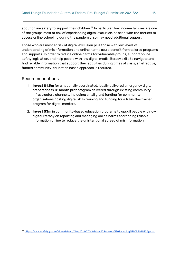about online safety to support their children. $^{\text{32}}$  In particular, low income families are one of the groups most at risk of experiencing digital exclusion, as seen with the barriers to access online schooling during the pandemic, so may need additional support.

Those who are most at risk of digital exclusion plus those with low levels of understanding of misinformation and online harms could benefit from tailored programs and supports. In order to reduce online harms for vulnerable groups, support online safety legislation, and help people with low digital media literacy skills to navigate and find reliable information that support their activities during times of crisis, an effective, funded community-education based approach is required.

#### <span id="page-12-0"></span>Recommendations

- 1. **Invest \$1.5m** for a nationally coordinated, locally delivered emergency digital preparedness 18 month pilot program delivered through existing community infrastructure channels, including: small grant funding for community organisations hosting digital skills training and funding for a train-the-trainer program for digital mentors.
- 2. **Invest \$3m** in community-based education programs to upskill people with low digital literacy on reporting and managing online harms and finding reliable information online to reduce the unintentional spread of misinformation.

<sup>32</sup> <https://www.esafety.gov.au/sites/default/files/2019-07/eSafety%20Research%20Parenting%20Digital%20Age.pdf>